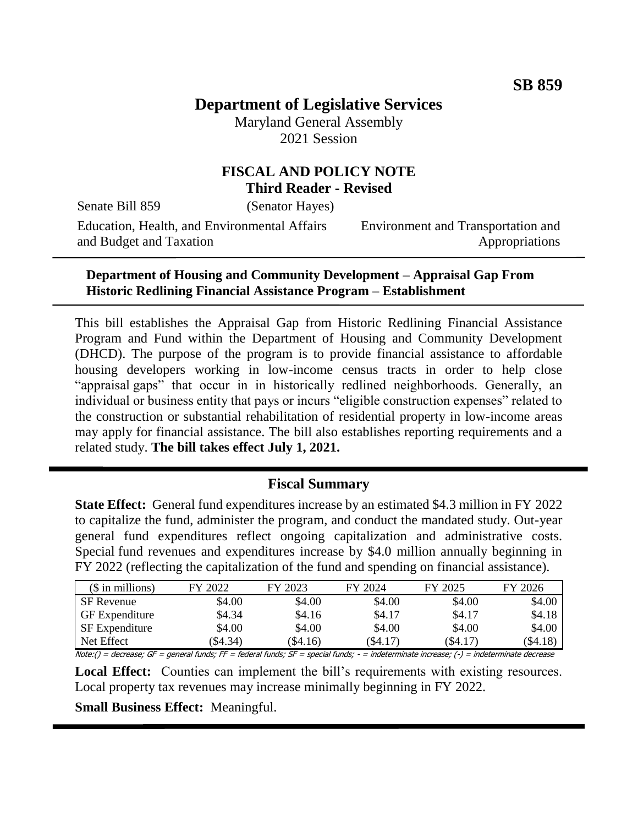# **Department of Legislative Services**

Maryland General Assembly 2021 Session

# **FISCAL AND POLICY NOTE Third Reader - Revised**

Senate Bill 859 (Senator Hayes)

Education, Health, and Environmental Affairs and Budget and Taxation

Environment and Transportation and Appropriations

#### **Department of Housing and Community Development – Appraisal Gap From Historic Redlining Financial Assistance Program – Establishment**

This bill establishes the Appraisal Gap from Historic Redlining Financial Assistance Program and Fund within the Department of Housing and Community Development (DHCD). The purpose of the program is to provide financial assistance to affordable housing developers working in low-income census tracts in order to help close "appraisal gaps" that occur in in historically redlined neighborhoods. Generally, an individual or business entity that pays or incurs "eligible construction expenses" related to the construction or substantial rehabilitation of residential property in low-income areas may apply for financial assistance. The bill also establishes reporting requirements and a related study. **The bill takes effect July 1, 2021.**

# **Fiscal Summary**

**State Effect:** General fund expenditures increase by an estimated \$4.3 million in FY 2022 to capitalize the fund, administer the program, and conduct the mandated study. Out-year general fund expenditures reflect ongoing capitalization and administrative costs. Special fund revenues and expenditures increase by \$4.0 million annually beginning in FY 2022 (reflecting the capitalization of the fund and spending on financial assistance).

| $($$ in millions)     | FY 2022  | FY 2023 | FY 2024 | FY 2025 | FY 2026    |
|-----------------------|----------|---------|---------|---------|------------|
| <b>SF</b> Revenue     | \$4.00   | \$4.00  | \$4.00  | \$4.00  | \$4.00     |
| <b>GF</b> Expenditure | \$4.34   | \$4.16  | \$4.17  | \$4.17  | \$4.18     |
| <b>SF</b> Expenditure | \$4.00   | \$4.00  | \$4.00  | \$4.00  | \$4.00     |
| Net Effect            | (\$4.34) | \$4.16  | (\$4.17 | (\$4.17 | $(\$4.18)$ |

Note:() = decrease; GF = general funds; FF = federal funds; SF = special funds; - = indeterminate increase; (-) = indeterminate decrease

Local Effect: Counties can implement the bill's requirements with existing resources. Local property tax revenues may increase minimally beginning in FY 2022.

**Small Business Effect:** Meaningful.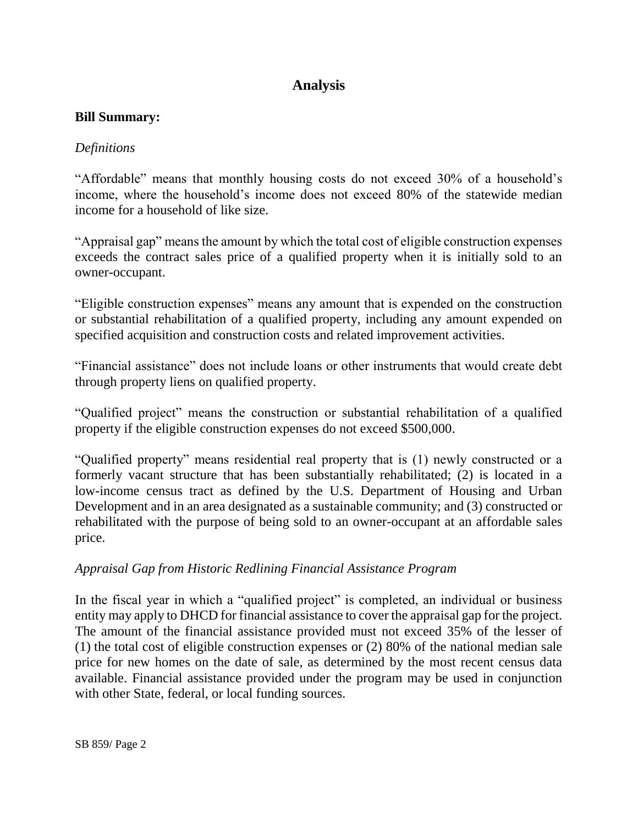# **Analysis**

### **Bill Summary:**

### *Definitions*

"Affordable" means that monthly housing costs do not exceed 30% of a household's income, where the household's income does not exceed 80% of the statewide median income for a household of like size.

"Appraisal gap" means the amount by which the total cost of eligible construction expenses exceeds the contract sales price of a qualified property when it is initially sold to an owner-occupant.

"Eligible construction expenses" means any amount that is expended on the construction or substantial rehabilitation of a qualified property, including any amount expended on specified acquisition and construction costs and related improvement activities.

"Financial assistance" does not include loans or other instruments that would create debt through property liens on qualified property.

"Qualified project" means the construction or substantial rehabilitation of a qualified property if the eligible construction expenses do not exceed \$500,000.

"Qualified property" means residential real property that is (1) newly constructed or a formerly vacant structure that has been substantially rehabilitated; (2) is located in a low-income census tract as defined by the U.S. Department of Housing and Urban Development and in an area designated as a sustainable community; and (3) constructed or rehabilitated with the purpose of being sold to an owner-occupant at an affordable sales price.

## *Appraisal Gap from Historic Redlining Financial Assistance Program*

In the fiscal year in which a "qualified project" is completed, an individual or business entity may apply to DHCD for financial assistance to cover the appraisal gap for the project. The amount of the financial assistance provided must not exceed 35% of the lesser of (1) the total cost of eligible construction expenses or (2) 80% of the national median sale price for new homes on the date of sale, as determined by the most recent census data available. Financial assistance provided under the program may be used in conjunction with other State, federal, or local funding sources.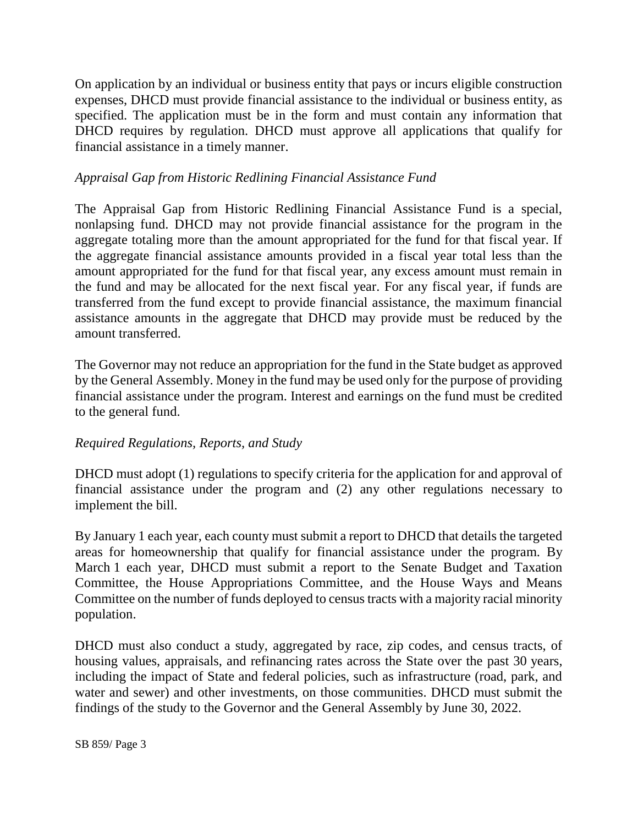On application by an individual or business entity that pays or incurs eligible construction expenses, DHCD must provide financial assistance to the individual or business entity, as specified. The application must be in the form and must contain any information that DHCD requires by regulation. DHCD must approve all applications that qualify for financial assistance in a timely manner.

## *Appraisal Gap from Historic Redlining Financial Assistance Fund*

The Appraisal Gap from Historic Redlining Financial Assistance Fund is a special, nonlapsing fund. DHCD may not provide financial assistance for the program in the aggregate totaling more than the amount appropriated for the fund for that fiscal year. If the aggregate financial assistance amounts provided in a fiscal year total less than the amount appropriated for the fund for that fiscal year, any excess amount must remain in the fund and may be allocated for the next fiscal year. For any fiscal year, if funds are transferred from the fund except to provide financial assistance, the maximum financial assistance amounts in the aggregate that DHCD may provide must be reduced by the amount transferred.

The Governor may not reduce an appropriation for the fund in the State budget as approved by the General Assembly. Money in the fund may be used only for the purpose of providing financial assistance under the program. Interest and earnings on the fund must be credited to the general fund.

## *Required Regulations, Reports, and Study*

DHCD must adopt (1) regulations to specify criteria for the application for and approval of financial assistance under the program and (2) any other regulations necessary to implement the bill.

By January 1 each year, each county must submit a report to DHCD that details the targeted areas for homeownership that qualify for financial assistance under the program. By March 1 each year, DHCD must submit a report to the Senate Budget and Taxation Committee, the House Appropriations Committee, and the House Ways and Means Committee on the number of funds deployed to census tracts with a majority racial minority population.

DHCD must also conduct a study, aggregated by race, zip codes, and census tracts, of housing values, appraisals, and refinancing rates across the State over the past 30 years, including the impact of State and federal policies, such as infrastructure (road, park, and water and sewer) and other investments, on those communities. DHCD must submit the findings of the study to the Governor and the General Assembly by June 30, 2022.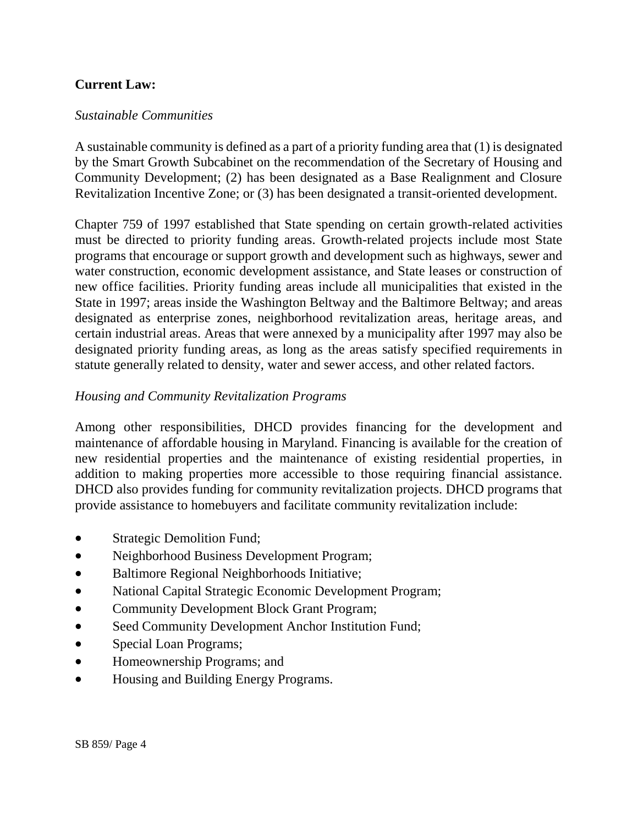# **Current Law:**

### *Sustainable Communities*

A sustainable community is defined as a part of a priority funding area that (1) is designated by the Smart Growth Subcabinet on the recommendation of the Secretary of Housing and Community Development; (2) has been designated as a Base Realignment and Closure Revitalization Incentive Zone; or (3) has been designated a transit-oriented development.

Chapter 759 of 1997 established that State spending on certain growth-related activities must be directed to priority funding areas. Growth-related projects include most State programs that encourage or support growth and development such as highways, sewer and water construction, economic development assistance, and State leases or construction of new office facilities. Priority funding areas include all municipalities that existed in the State in 1997; areas inside the Washington Beltway and the Baltimore Beltway; and areas designated as enterprise zones, neighborhood revitalization areas, heritage areas, and certain industrial areas. Areas that were annexed by a municipality after 1997 may also be designated priority funding areas, as long as the areas satisfy specified requirements in statute generally related to density, water and sewer access, and other related factors.

### *Housing and Community Revitalization Programs*

Among other responsibilities, DHCD provides financing for the development and maintenance of affordable housing in Maryland. Financing is available for the creation of new residential properties and the maintenance of existing residential properties, in addition to making properties more accessible to those requiring financial assistance. DHCD also provides funding for community revitalization projects. DHCD programs that provide assistance to homebuyers and facilitate community revitalization include:

- Strategic Demolition Fund;
- Neighborhood Business Development Program;
- Baltimore Regional Neighborhoods Initiative;
- National Capital Strategic Economic Development Program;
- Community Development Block Grant Program;
- Seed Community Development Anchor Institution Fund;
- Special Loan Programs;
- Homeownership Programs; and
- Housing and Building Energy Programs.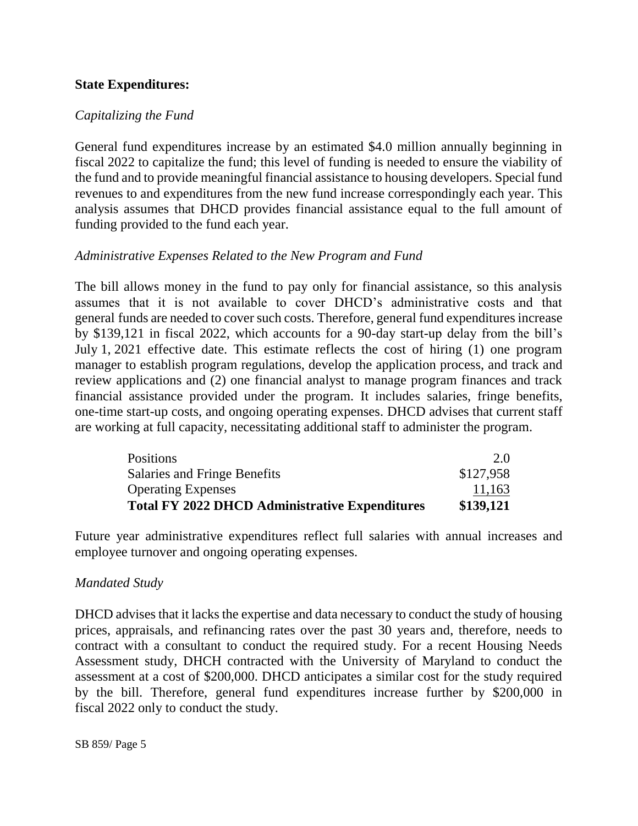## **State Expenditures:**

### *Capitalizing the Fund*

General fund expenditures increase by an estimated \$4.0 million annually beginning in fiscal 2022 to capitalize the fund; this level of funding is needed to ensure the viability of the fund and to provide meaningful financial assistance to housing developers. Special fund revenues to and expenditures from the new fund increase correspondingly each year. This analysis assumes that DHCD provides financial assistance equal to the full amount of funding provided to the fund each year.

### *Administrative Expenses Related to the New Program and Fund*

The bill allows money in the fund to pay only for financial assistance, so this analysis assumes that it is not available to cover DHCD's administrative costs and that general funds are needed to cover such costs. Therefore, general fund expenditures increase by \$139,121 in fiscal 2022, which accounts for a 90-day start-up delay from the bill's July 1, 2021 effective date. This estimate reflects the cost of hiring (1) one program manager to establish program regulations, develop the application process, and track and review applications and (2) one financial analyst to manage program finances and track financial assistance provided under the program. It includes salaries, fringe benefits, one-time start-up costs, and ongoing operating expenses. DHCD advises that current staff are working at full capacity, necessitating additional staff to administer the program.

| <b>Total FY 2022 DHCD Administrative Expenditures</b> | \$139,121 |
|-------------------------------------------------------|-----------|
| <b>Operating Expenses</b>                             | 11,163    |
| Salaries and Fringe Benefits                          | \$127,958 |
| <b>Positions</b>                                      | 2.0       |

Future year administrative expenditures reflect full salaries with annual increases and employee turnover and ongoing operating expenses.

#### *Mandated Study*

DHCD advises that it lacks the expertise and data necessary to conduct the study of housing prices, appraisals, and refinancing rates over the past 30 years and, therefore, needs to contract with a consultant to conduct the required study. For a recent Housing Needs Assessment study, DHCH contracted with the University of Maryland to conduct the assessment at a cost of \$200,000. DHCD anticipates a similar cost for the study required by the bill. Therefore, general fund expenditures increase further by \$200,000 in fiscal 2022 only to conduct the study.